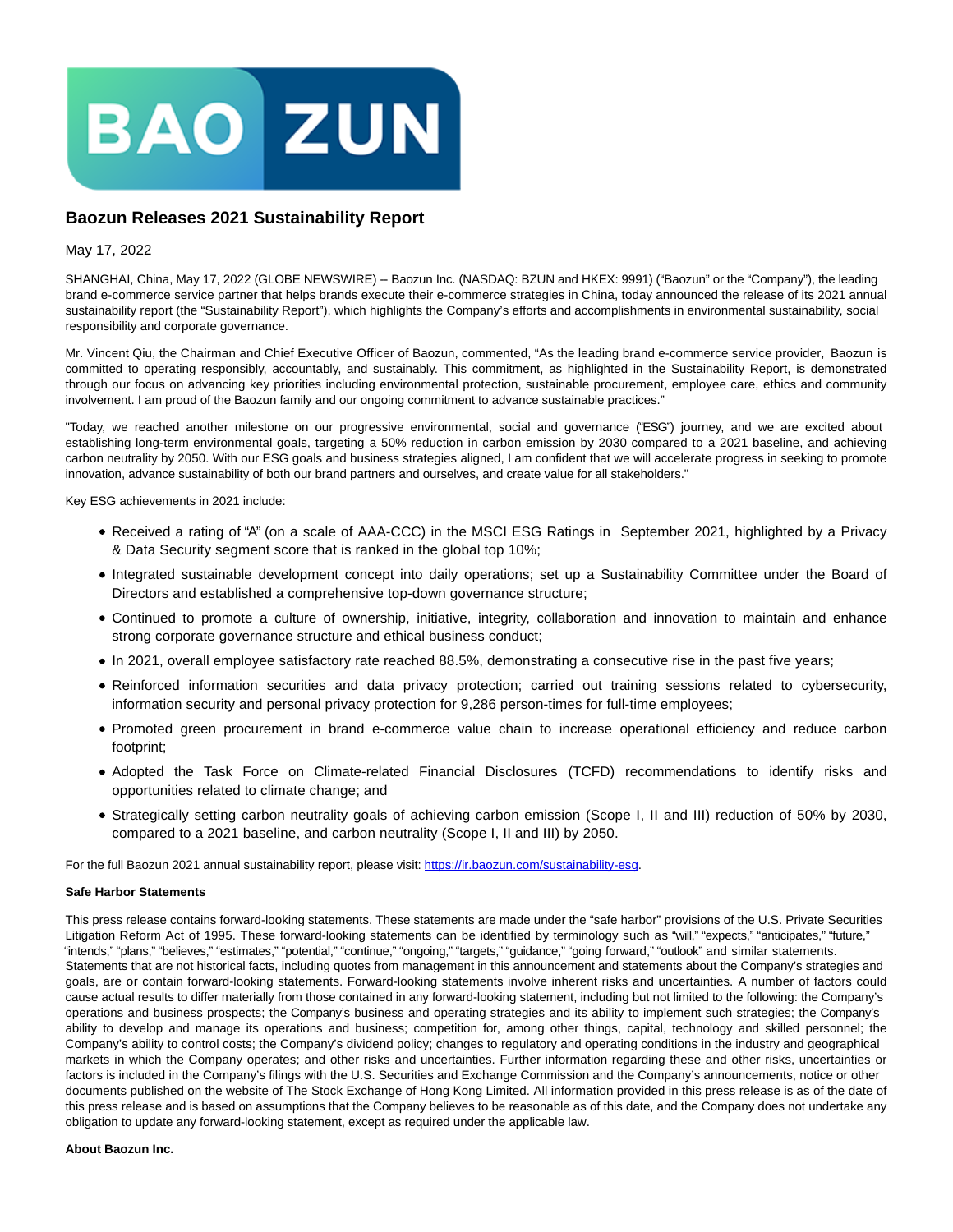

## **Baozun Releases 2021 Sustainability Report**

## May 17, 2022

SHANGHAI, China, May 17, 2022 (GLOBE NEWSWIRE) -- Baozun Inc. (NASDAQ: BZUN and HKEX: 9991) ("Baozun" or the "Company"), the leading brand e-commerce service partner that helps brands execute their e-commerce strategies in China, today announced the release of its 2021 annual sustainability report (the "Sustainability Report"), which highlights the Company's efforts and accomplishments in environmental sustainability, social responsibility and corporate governance.

Mr. Vincent Qiu, the Chairman and Chief Executive Officer of Baozun, commented, "As the leading brand e-commerce service provider, Baozun is committed to operating responsibly, accountably, and sustainably. This commitment, as highlighted in the Sustainability Report, is demonstrated through our focus on advancing key priorities including environmental protection, sustainable procurement, employee care, ethics and community involvement. I am proud of the Baozun family and our ongoing commitment to advance sustainable practices."

"Today, we reached another milestone on our progressive environmental, social and governance ("ESG") journey, and we are excited about establishing long-term environmental goals, targeting a 50% reduction in carbon emission by 2030 compared to a 2021 baseline, and achieving carbon neutrality by 2050. With our ESG goals and business strategies aligned, I am confident that we will accelerate progress in seeking to promote innovation, advance sustainability of both our brand partners and ourselves, and create value for all stakeholders."

Key ESG achievements in 2021 include:

- Received a rating of "A" (on a scale of AAA-CCC) in the MSCI ESG Ratings in September 2021, highlighted by a Privacy & Data Security segment score that is ranked in the global top 10%;
- Integrated sustainable development concept into daily operations; set up a Sustainability Committee under the Board of Directors and established a comprehensive top-down governance structure;
- Continued to promote a culture of ownership, initiative, integrity, collaboration and innovation to maintain and enhance strong corporate governance structure and ethical business conduct;
- In 2021, overall employee satisfactory rate reached 88.5%, demonstrating a consecutive rise in the past five years;
- Reinforced information securities and data privacy protection; carried out training sessions related to cybersecurity, information security and personal privacy protection for 9,286 person-times for full-time employees;
- Promoted green procurement in brand e-commerce value chain to increase operational efficiency and reduce carbon footprint;
- Adopted the Task Force on Climate-related Financial Disclosures (TCFD) recommendations to identify risks and opportunities related to climate change; and
- Strategically setting carbon neutrality goals of achieving carbon emission (Scope I, II and III) reduction of 50% by 2030, compared to a 2021 baseline, and carbon neutrality (Scope I, II and III) by 2050.

For the full Baozun 2021 annual sustainability report, please visit: [https://ir.baozun.com/sustainability-esg.](https://www.globenewswire.com/Tracker?data=0MGuza6kAXlL8DGkgCXPmdhrDIsUYKDBLERVzqSbuNnyg-2JnqNb_vKIH-LmTkYoDImb4tczGLLDAwRrJr9NE5vxMJe6QZSBbdz1CuWyRc8TVBon7teamzIKVQIofine7Od0tmcjhuK1aCUAg9cgMA==)

## **Safe Harbor Statements**

This press release contains forward-looking statements. These statements are made under the "safe harbor" provisions of the U.S. Private Securities Litigation Reform Act of 1995. These forward-looking statements can be identified by terminology such as "will," "expects," "anticipates," "future," "intends," "plans," "believes," "estimates," "potential," "continue," "ongoing," "targets," "guidance," "going forward," "outlook" and similar statements. Statements that are not historical facts, including quotes from management in this announcement and statements about the Company's strategies and goals, are or contain forward-looking statements. Forward-looking statements involve inherent risks and uncertainties. A number of factors could cause actual results to differ materially from those contained in any forward-looking statement, including but not limited to the following: the Company's operations and business prospects; the Company's business and operating strategies and its ability to implement such strategies; the Company's ability to develop and manage its operations and business; competition for, among other things, capital, technology and skilled personnel; the Company's ability to control costs; the Company's dividend policy; changes to regulatory and operating conditions in the industry and geographical markets in which the Company operates; and other risks and uncertainties. Further information regarding these and other risks, uncertainties or factors is included in the Company's filings with the U.S. Securities and Exchange Commission and the Company's announcements, notice or other documents published on the website of The Stock Exchange of Hong Kong Limited. All information provided in this press release is as of the date of this press release and is based on assumptions that the Company believes to be reasonable as of this date, and the Company does not undertake any obligation to update any forward-looking statement, except as required under the applicable law.

## **About Baozun Inc.**